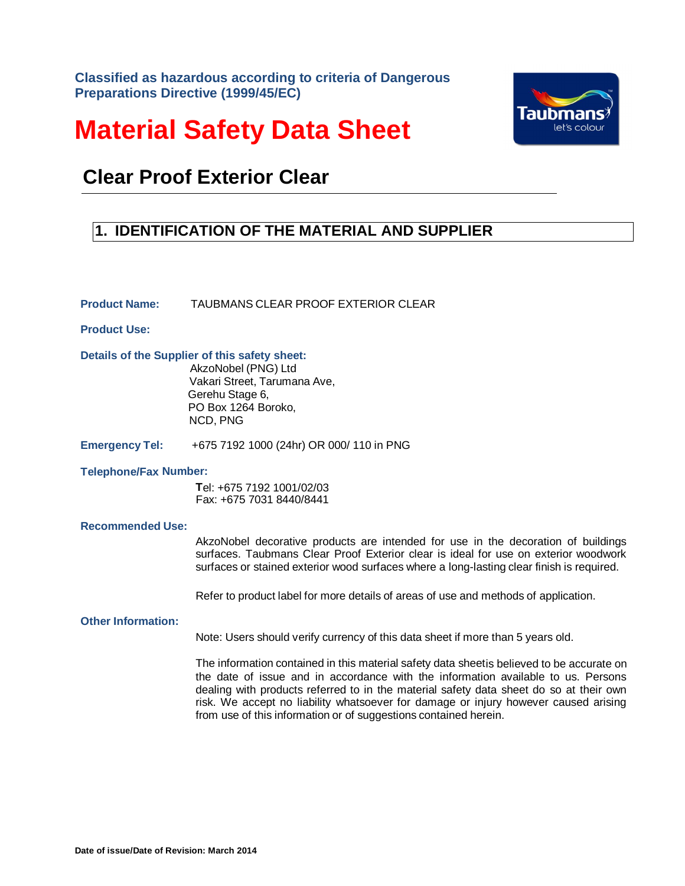**Classified as hazardous according to criteria of Dangerous Preparations Directive (1999/45/EC)**

# **Material Safety Data Sheet**



## **Clear Proof Exterior Clear**

### **1. IDENTIFICATION OF THE MATERIAL AND SUPPLIER**

**Product Name:** TAUBMANS CLEAR PROOF EXTERIOR CLEAR

**Product Use:**

**Details of the Supplier of this safety sheet:**

AkzoNobel (PNG) Ltd Vakari Street, Tarumana Ave, Gerehu Stage 6, PO Box 1264 Boroko, NCD, PNG

**Emergency Tel:** +675 7192 1000 (24hr) OR 000/ 110 in PNG

#### **Telephone/Fax Number:**

 **T**el: +675 7192 1001/02/03 Fax: +675 7031 8440/8441

#### **Recommended Use:**

AkzoNobel decorative products are intended for use in the decoration of buildings surfaces. Taubmans Clear Proof Exterior clear is ideal for use on exterior woodwork surfaces or stained exterior wood surfaces where a long-lasting clear finish is required.

Refer to product label for more details of areas of use and methods of application.

#### **Other Information:**

Note: Users should verify currency of this data sheet if more than 5 years old.

The information contained in this material safety data sheetis believed to be accurate on the date of issue and in accordance with the information available to us. Persons dealing with products referred to in the material safety data sheet do so at their own risk. We accept no liability whatsoever for damage or injury however caused arising from use of this information or of suggestions contained herein.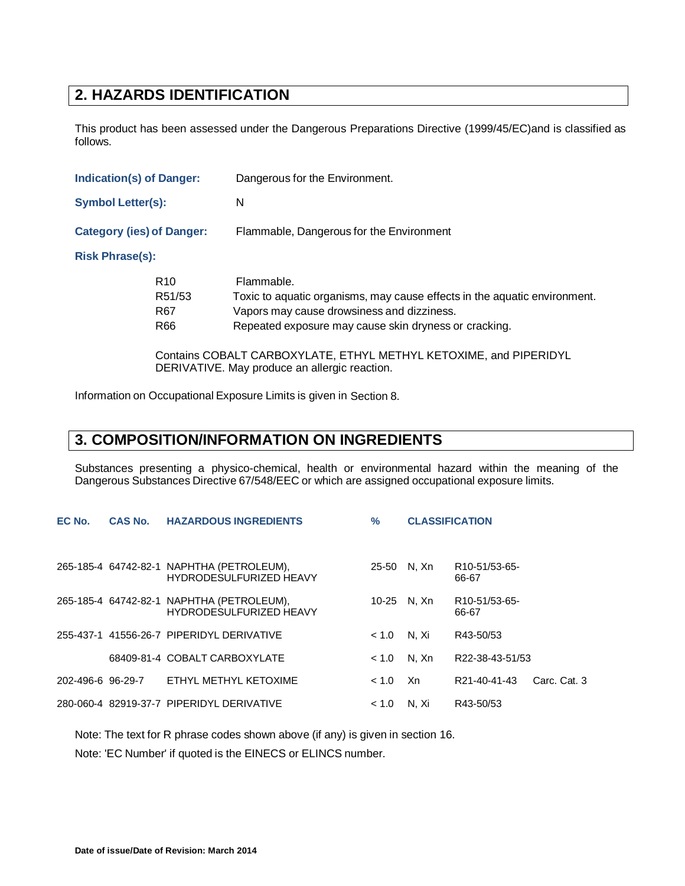### **2. HAZARDS IDENTIFICATION**

This product has been assessed under the Dangerous Preparations Directive (1999/45/EC)and is classified as follows.

| <b>Indication(s) of Danger:</b>  |                                                     | Dangerous for the Environment.                                                                                                                                                                 |  |  |
|----------------------------------|-----------------------------------------------------|------------------------------------------------------------------------------------------------------------------------------------------------------------------------------------------------|--|--|
| <b>Symbol Letter(s):</b>         |                                                     | N                                                                                                                                                                                              |  |  |
| <b>Category (ies) of Danger:</b> |                                                     | Flammable, Dangerous for the Environment                                                                                                                                                       |  |  |
| <b>Risk Phrase(s):</b>           |                                                     |                                                                                                                                                                                                |  |  |
|                                  | R <sub>10</sub><br>R51/53<br>R <sub>67</sub><br>R66 | Flammable.<br>Toxic to aquatic organisms, may cause effects in the aquatic environment.<br>Vapors may cause drowsiness and dizziness.<br>Repeated exposure may cause skin dryness or cracking. |  |  |
|                                  |                                                     | Contains CODALT CADDOVVILATE FTUVL METUVL IZETOVIME and DIDEDIDVI                                                                                                                              |  |  |

Contains COBALT CARBOXYLATE, ETHYL METHYL KETOXIME, and PIPERIDYL DERIVATIVE. May produce an allergic reaction.

Information on Occupational Exposure Limits is given in Section 8.

### **3. COMPOSITION/INFORMATION ON INGREDIENTS**

Substances presenting a physico-chemical, health or environmental hazard within the meaning of the Dangerous Substances Directive 67/548/EEC or which are assigned occupational exposure limits.

| EC No. | <b>CAS No.</b> | <b>HAZARDOUS INGREDIENTS</b>                                                | $\frac{0}{0}$ | <b>CLASSIFICATION</b> |                                     |              |
|--------|----------------|-----------------------------------------------------------------------------|---------------|-----------------------|-------------------------------------|--------------|
|        |                | 265-185-4 64742-82-1 NAPHTHA (PETROLEUM),<br><b>HYDRODESULFURIZED HEAVY</b> | 25-50         | N. Xn                 | R <sub>10</sub> -51/53-65-<br>66-67 |              |
|        |                | 265-185-4 64742-82-1 NAPHTHA (PETROLEUM),<br><b>HYDRODESULFURIZED HEAVY</b> | $10 - 25$     | N. Xn                 | R10-51/53-65-<br>66-67              |              |
|        |                | 255-437-1 41556-26-7 PIPERIDYL DERIVATIVE                                   | < 1.0         | N. Xi                 | R43-50/53                           |              |
|        |                | 68409-81-4 COBALT CARBOXYLATE                                               | ~1.0          | N. Xn                 | R22-38-43-51/53                     |              |
|        |                | 202-496-6 96-29-7 ETHYL METHYL KETOXIME                                     | < 1.0         | Xn.                   | R21-40-41-43                        | Carc. Cat. 3 |
|        |                | 280-060-4 82919-37-7 PIPERIDYL DERIVATIVE                                   | ~1.0          | N. Xi                 | R43-50/53                           |              |

Note: The text for R phrase codes shown above (if any) is given in section 16.

Note: 'EC Number' if quoted is the EINECS or ELINCS number.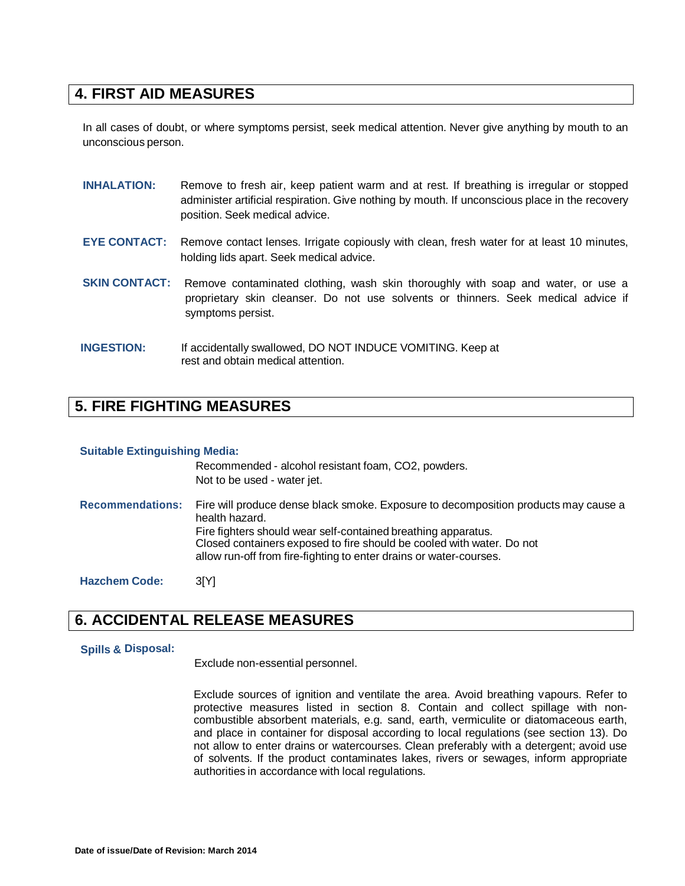### **4. FIRST AID MEASURES**

In all cases of doubt, or where symptoms persist, seek medical attention. Never give anything by mouth to an unconscious person.

| <b>INHALATION:</b>   | Remove to fresh air, keep patient warm and at rest. If breathing is irregular or stopped<br>administer artificial respiration. Give nothing by mouth. If unconscious place in the recovery<br>position. Seek medical advice. |
|----------------------|------------------------------------------------------------------------------------------------------------------------------------------------------------------------------------------------------------------------------|
| <b>EYE CONTACT:</b>  | Remove contact lenses. Irrigate copiously with clean, fresh water for at least 10 minutes,<br>holding lids apart. Seek medical advice.                                                                                       |
| <b>SKIN CONTACT:</b> | Remove contaminated clothing, wash skin thoroughly with soap and water, or use a<br>proprietary skin cleanser. Do not use solvents or thinners. Seek medical advice if<br>symptoms persist.                                  |
| <b>INGESTION:</b>    | If accidentally swallowed, DO NOT INDUCE VOMITING. Keep at<br>rest and obtain medical attention.                                                                                                                             |

### **5. FIRE FIGHTING MEASURES**

#### **Suitable Extinguishing Media:**

|                         | Recommended - alcohol resistant foam, CO2, powders.<br>Not to be used - water jet.                                                                                                                                                              |
|-------------------------|-------------------------------------------------------------------------------------------------------------------------------------------------------------------------------------------------------------------------------------------------|
| <b>Recommendations:</b> | Fire will produce dense black smoke. Exposure to decomposition products may cause a<br>health hazard.<br>Fire fighters should wear self-contained breathing apparatus.<br>Closed containers exposed to fire should be cooled with water. Do not |
|                         | allow run-off from fire-fighting to enter drains or water-courses.                                                                                                                                                                              |
| <b>Hazchem Code:</b>    | 3[Y]                                                                                                                                                                                                                                            |

### **6. ACCIDENTAL RELEASE MEASURES**

#### **Spills & Disposal:**

Exclude non-essential personnel.

Exclude sources of ignition and ventilate the area. Avoid breathing vapours. Refer to protective measures listed in section 8. Contain and collect spillage with noncombustible absorbent materials, e.g. sand, earth, vermiculite or diatomaceous earth, and place in container for disposal according to local regulations (see section 13). Do not allow to enter drains or watercourses. Clean preferably with a detergent; avoid use of solvents. If the product contaminates lakes, rivers or sewages, inform appropriate authorities in accordance with local regulations.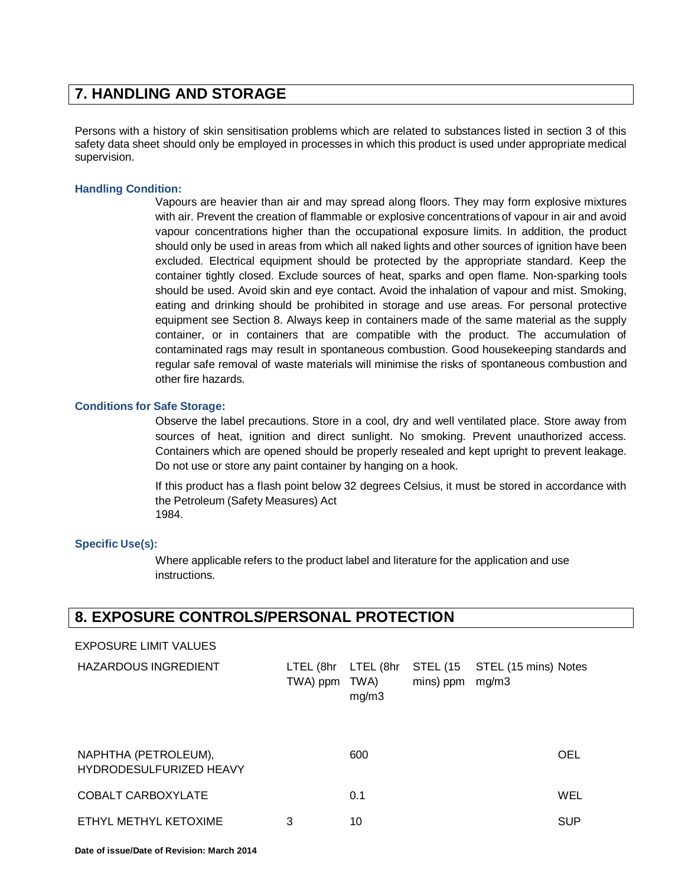### **7. HANDLING AND STORAGE**

Persons with a history of skin sensitisation problems which are related to substances listed in section 3 of this safety data sheet should only be employed in processes in which this product is used under appropriate medical supervision.

#### **Handling Condition:**

Vapours are heavier than air and may spread along floors. They may form explosive mixtures with air. Prevent the creation of flammable or explosive concentrations of vapour in air and avoid vapour concentrations higher than the occupational exposure limits. In addition, the product should only be used in areas from which all naked lights and other sources of ignition have been excluded. Electrical equipment should be protected by the appropriate standard. Keep the container tightly closed. Exclude sources of heat, sparks and open flame. Non-sparking tools should be used. Avoid skin and eye contact. Avoid the inhalation of vapour and mist. Smoking, eating and drinking should be prohibited in storage and use areas. For personal protective equipment see Section 8. Always keep in containers made of the same material as the supply container, or in containers that are compatible with the product. The accumulation of contaminated rags may result in spontaneous combustion. Good housekeeping standards and regular safe removal of waste materials will minimise the risks of spontaneous combustion and other fire hazards.

#### **Conditions for Safe Storage:**

Observe the label precautions. Store in a cool, dry and well ventilated place. Store away from sources of heat, ignition and direct sunlight. No smoking. Prevent unauthorized access. Containers which are opened should be properly resealed and kept upright to prevent leakage. Do not use or store any paint container by hanging on a hook.

If this product has a flash point below 32 degrees Celsius, it must be stored in accordance with the Petroleum (Safety Measures) Act 1984.

#### **Specific Use(s):**

Where applicable refers to the product label and literature for the application and use instructions.

### **8. EXPOSURE CONTROLS/PERSONAL PROTECTION**

#### EXPOSURE LIMIT VALUES

| <b>HAZARDOUS INGREDIENT</b>                     | LTEL (8hr LTEL (8hr<br>TWA) ppm | TWA)<br>mg/m3 | mins) ppm | STEL (15 STEL (15 mins) Notes<br>mg/m3 |            |
|-------------------------------------------------|---------------------------------|---------------|-----------|----------------------------------------|------------|
| NAPHTHA (PETROLEUM),<br>HYDRODESULFURIZED HEAVY |                                 | 600           |           |                                        | OEL        |
| COBALT CARBOXYLATE                              |                                 | 0.1           |           |                                        | WEL        |
| ETHYL METHYL KETOXIME                           | 3                               | 10            |           |                                        | <b>SUP</b> |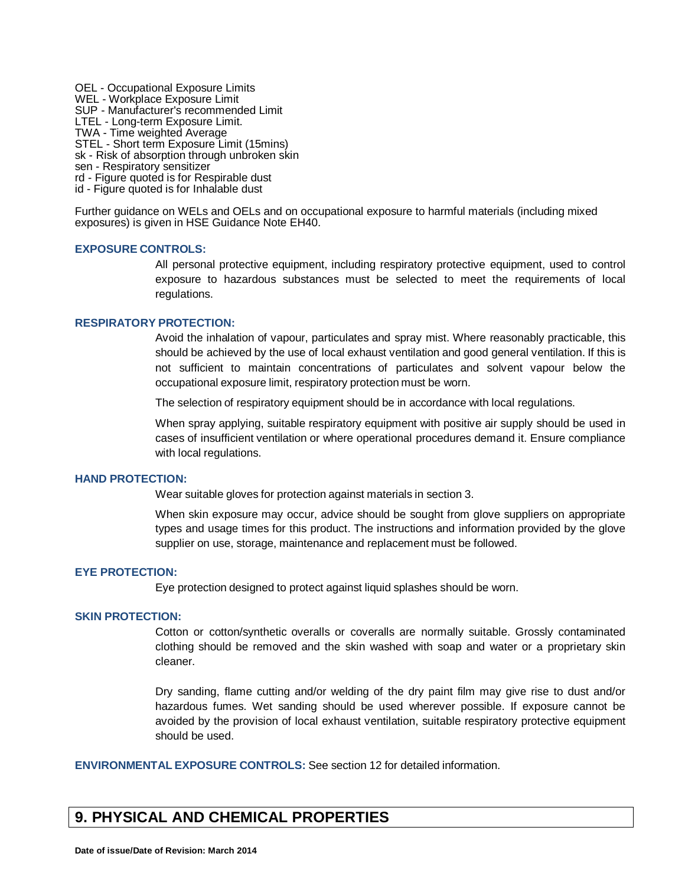OEL - Occupational Exposure Limits WEL - Workplace Exposure Limit SUP - Manufacturer's recommended Limit LTEL - Long-term Exposure Limit. TWA - Time weighted Average STEL - Short term Exposure Limit (15mins) sk - Risk of absorption through unbroken skin sen - Respiratory sensitizer rd - Figure quoted is for Respirable dust

id - Figure quoted is for Inhalable dust

Further guidance on WELs and OELs and on occupational exposure to harmful materials (including mixed exposures) is given in HSE Guidance Note EH40.

#### **EXPOSURE CONTROLS:**

All personal protective equipment, including respiratory protective equipment, used to control exposure to hazardous substances must be selected to meet the requirements of local regulations.

#### **RESPIRATORY PROTECTION:**

Avoid the inhalation of vapour, particulates and spray mist. Where reasonably practicable, this should be achieved by the use of local exhaust ventilation and good general ventilation. If this is not sufficient to maintain concentrations of particulates and solvent vapour below the occupational exposure limit, respiratory protection must be worn.

The selection of respiratory equipment should be in accordance with local regulations.

When spray applying, suitable respiratory equipment with positive air supply should be used in cases of insufficient ventilation or where operational procedures demand it. Ensure compliance with local regulations.

#### **HAND PROTECTION:**

Wear suitable gloves for protection against materials in section 3.

When skin exposure may occur, advice should be sought from glove suppliers on appropriate types and usage times for this product. The instructions and information provided by the glove supplier on use, storage, maintenance and replacement must be followed.

#### **EYE PROTECTION:**

Eye protection designed to protect against liquid splashes should be worn.

#### **SKIN PROTECTION:**

Cotton or cotton/synthetic overalls or coveralls are normally suitable. Grossly contaminated clothing should be removed and the skin washed with soap and water or a proprietary skin cleaner.

Dry sanding, flame cutting and/or welding of the dry paint film may give rise to dust and/or hazardous fumes. Wet sanding should be used wherever possible. If exposure cannot be avoided by the provision of local exhaust ventilation, suitable respiratory protective equipment should be used.

**ENVIRONMENTAL EXPOSURE CONTROLS:** See section 12 for detailed information.

### **9. PHYSICAL AND CHEMICAL PROPERTIES**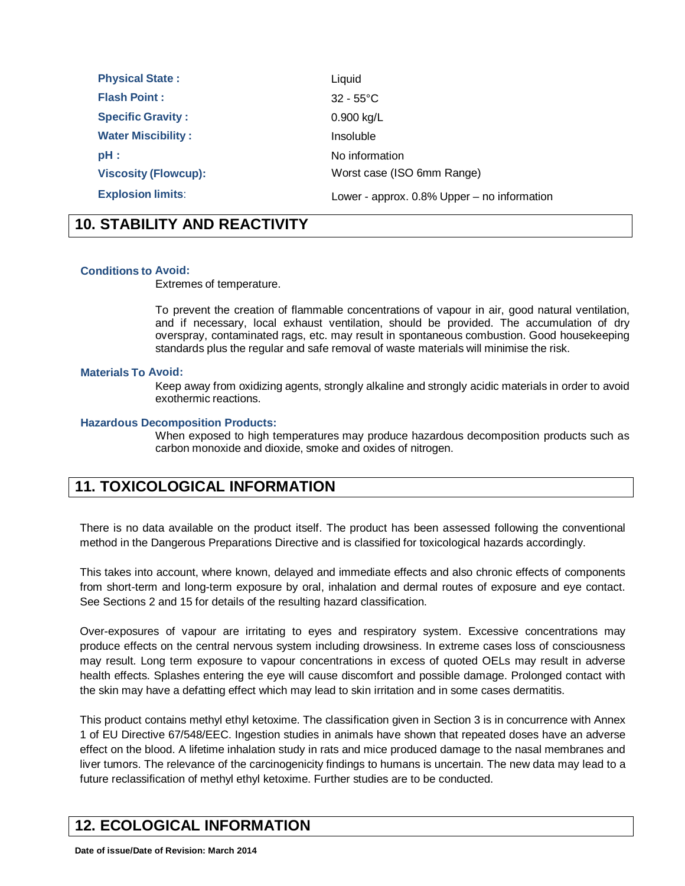| <b>Physical State:</b>      | Liquid                                         |
|-----------------------------|------------------------------------------------|
| <b>Flash Point:</b>         | $32 - 55^{\circ}$ C                            |
| <b>Specific Gravity:</b>    | 0.900 kg/L                                     |
| <b>Water Miscibility:</b>   | Insoluble                                      |
| $pH$ :                      | No information                                 |
| <b>Viscosity (Flowcup):</b> | Worst case (ISO 6mm Range)                     |
| <b>Explosion limits:</b>    | Lower - approx. $0.8\%$ Upper – no information |

### **10. STABILITY AND REACTIVITY**

#### **Conditions to Avoid:**

Extremes of temperature.

To prevent the creation of flammable concentrations of vapour in air, good natural ventilation, and if necessary, local exhaust ventilation, should be provided. The accumulation of dry overspray, contaminated rags, etc. may result in spontaneous combustion. Good housekeeping standards plus the regular and safe removal of waste materials will minimise the risk.

#### **Materials To Avoid:**

Keep away from oxidizing agents, strongly alkaline and strongly acidic materials in order to avoid exothermic reactions.

#### **Hazardous Decomposition Products:**

When exposed to high temperatures may produce hazardous decomposition products such as carbon monoxide and dioxide, smoke and oxides of nitrogen.

### **11. TOXICOLOGICAL INFORMATION**

There is no data available on the product itself. The product has been assessed following the conventional method in the Dangerous Preparations Directive and is classified for toxicological hazards accordingly.

This takes into account, where known, delayed and immediate effects and also chronic effects of components from short-term and long-term exposure by oral, inhalation and dermal routes of exposure and eye contact. See Sections 2 and 15 for details of the resulting hazard classification.

Over-exposures of vapour are irritating to eyes and respiratory system. Excessive concentrations may produce effects on the central nervous system including drowsiness. In extreme cases loss of consciousness may result. Long term exposure to vapour concentrations in excess of quoted OELs may result in adverse health effects. Splashes entering the eye will cause discomfort and possible damage. Prolonged contact with the skin may have a defatting effect which may lead to skin irritation and in some cases dermatitis.

This product contains methyl ethyl ketoxime. The classification given in Section 3 is in concurrence with Annex 1 of EU Directive 67/548/EEC. Ingestion studies in animals have shown that repeated doses have an adverse effect on the blood. A lifetime inhalation study in rats and mice produced damage to the nasal membranes and liver tumors. The relevance of the carcinogenicity findings to humans is uncertain. The new data may lead to a future reclassification of methyl ethyl ketoxime. Further studies are to be conducted.

### **12. ECOLOGICAL INFORMATION**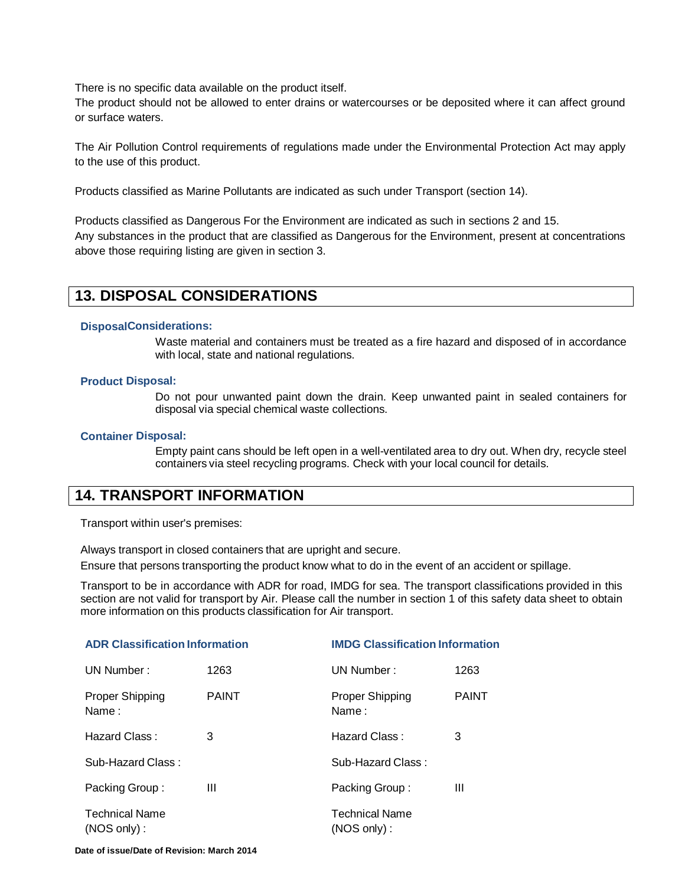There is no specific data available on the product itself.

The product should not be allowed to enter drains or watercourses or be deposited where it can affect ground or surface waters.

The Air Pollution Control requirements of regulations made under the Environmental Protection Act may apply to the use of this product.

Products classified as Marine Pollutants are indicated as such under Transport (section 14).

Products classified as Dangerous For the Environment are indicated as such in sections 2 and 15. Any substances in the product that are classified as Dangerous for the Environment, present at concentrations above those requiring listing are given in section 3.

### **13. DISPOSAL CONSIDERATIONS**

#### **DisposalConsiderations:**

Waste material and containers must be treated as a fire hazard and disposed of in accordance with local, state and national regulations.

#### **Product Disposal:**

Do not pour unwanted paint down the drain. Keep unwanted paint in sealed containers for disposal via special chemical waste collections.

#### **Container Disposal:**

Empty paint cans should be left open in a well-ventilated area to dry out. When dry, recycle steel containers via steel recycling programs. Check with your local council for details.

### **14. TRANSPORT INFORMATION**

Transport within user's premises:

Always transport in closed containers that are upright and secure.

Ensure that persons transporting the product know what to do in the event of an accident or spillage.

Transport to be in accordance with ADR for road, IMDG for sea. The transport classifications provided in this section are not valid for transport by Air. Please call the number in section 1 of this safety data sheet to obtain more information on this products classification for Air transport.

| <b>ADR Classification Information</b>   |              | <b>IMDG Classification Information</b> |              |  |
|-----------------------------------------|--------------|----------------------------------------|--------------|--|
| UN Number:                              | 1263         | UN Number:                             | 1263         |  |
| <b>Proper Shipping</b><br>Name:         | <b>PAINT</b> | <b>Proper Shipping</b><br>Name:        | <b>PAINT</b> |  |
| Hazard Class :                          | 3            | Hazard Class :                         | 3            |  |
| Sub-Hazard Class:                       |              | Sub-Hazard Class:                      |              |  |
| Packing Group:                          | Ш            | Packing Group:                         | Ш            |  |
| <b>Technical Name</b><br>$(NOS only)$ : |              | <b>Technical Name</b><br>(NOS only):   |              |  |

**Date of issue/Date of Revision: March 2014**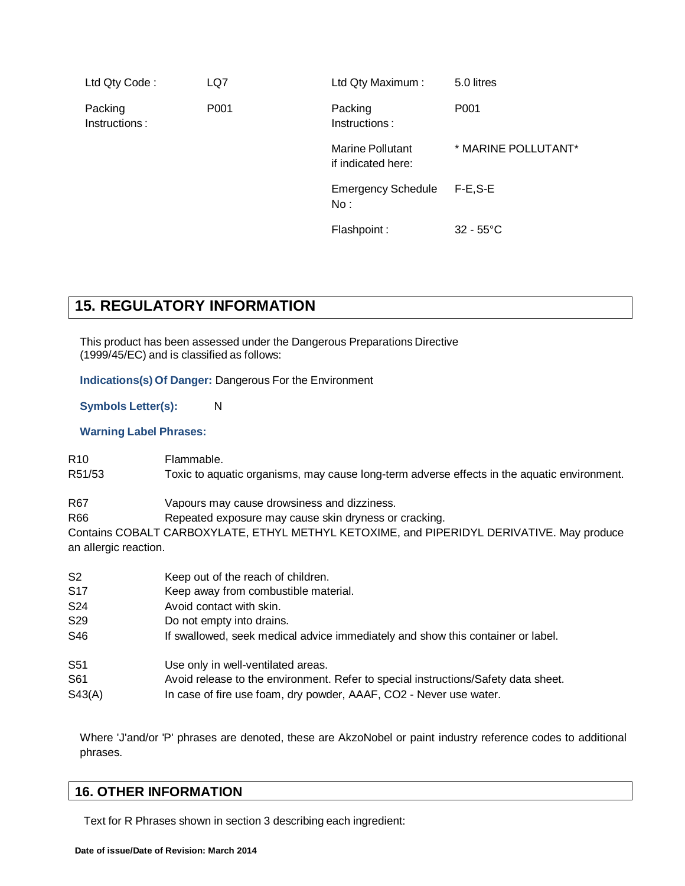| Ltd Qty Code:            | LQ7              | Ltd Qty Maximum:                              | 5.0 litres          |
|--------------------------|------------------|-----------------------------------------------|---------------------|
| Packing<br>Instructions: | P <sub>001</sub> | Packing<br>Instructions:                      | P <sub>001</sub>    |
|                          |                  | <b>Marine Pollutant</b><br>if indicated here: | * MARINE POLLUTANT* |
|                          |                  | <b>Emergency Schedule</b><br>No:              | $F-E, S-E$          |
|                          |                  | Flashpoint:                                   | $32 - 55^{\circ}$ C |

### **15. REGULATORY INFORMATION**

This product has been assessed under the Dangerous Preparations Directive (1999/45/EC) and is classified as follows:

**Indications(s) Of Danger:** Dangerous For the Environment

**Symbols Letter(s):** N

**Warning Label Phrases:**

R<sub>10</sub> Flammable.

R51/53 Toxic to aquatic organisms, may cause long-term adverse effects in the aquatic environment.

R67 Vapours may cause drowsiness and dizziness.

R66 Repeated exposure may cause skin dryness or cracking.

Contains COBALT CARBOXYLATE, ETHYL METHYL KETOXIME, and PIPERIDYL DERIVATIVE. May produce an allergic reaction.

| S <sub>2</sub>  | Keep out of the reach of children.                                                 |
|-----------------|------------------------------------------------------------------------------------|
| S <sub>17</sub> | Keep away from combustible material.                                               |
| S24             | Avoid contact with skin.                                                           |
| S <sub>29</sub> | Do not empty into drains.                                                          |
| S46             | If swallowed, seek medical advice immediately and show this container or label.    |
| S51             | Use only in well-ventilated areas.                                                 |
| S61             | Avoid release to the environment. Refer to special instructions/Safety data sheet. |
| S43(A)          | In case of fire use foam, dry powder, AAAF, CO2 - Never use water.                 |

Where 'J'and/or 'P' phrases are denoted, these are AkzoNobel or paint industry reference codes to additional phrases.

### **16. OTHER INFORMATION**

Text for R Phrases shown in section 3 describing each ingredient: